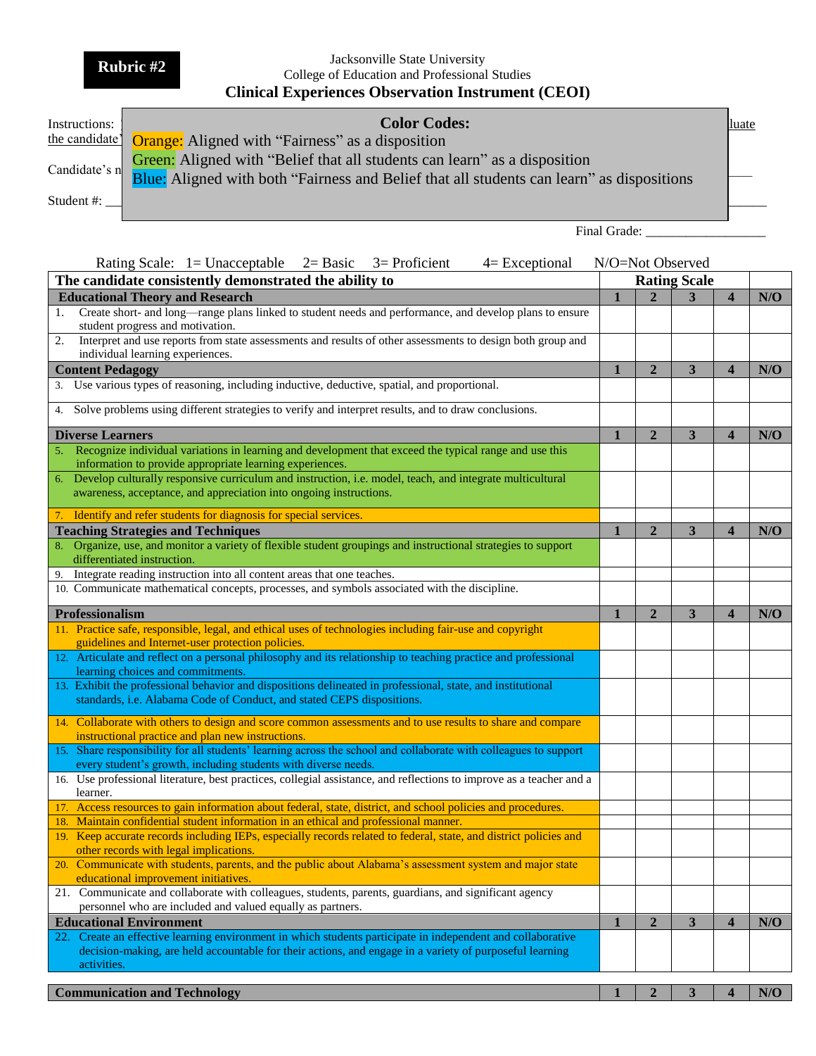**Rubric #2**

## Jacksonville State University College of Education and Professional Studies **Clinical Experiences Observation Instrument (CEOI)**

| Instructions: | <b>Color Codes:</b>                                                                                                                                                                  | luate |
|---------------|--------------------------------------------------------------------------------------------------------------------------------------------------------------------------------------|-------|
|               | the candidate <sup>1</sup> Orange: Aligned with "Fairness" as a disposition                                                                                                          |       |
|               | Green: Aligned with "Belief that all students can learn" as a disposition<br>Candidate's n Blue: Aligned with both "Fairness and Belief that all students can learn" as dispositions |       |
| Student #:    |                                                                                                                                                                                      |       |
|               |                                                                                                                                                                                      |       |

Final Grade: \_\_\_\_\_\_\_\_\_\_\_\_\_\_\_\_\_\_

| Rating Scale: $1 =$ Unacceptable $2=$ Basic<br>$3=$ Proficient<br>$4=Exceptional$                                                                                                      |   |                     | N/O=Not Observed |                         |     |
|----------------------------------------------------------------------------------------------------------------------------------------------------------------------------------------|---|---------------------|------------------|-------------------------|-----|
| The candidate consistently demonstrated the ability to                                                                                                                                 |   | <b>Rating Scale</b> |                  |                         |     |
| <b>Educational Theory and Research</b>                                                                                                                                                 |   |                     | 3                | $\overline{\mathbf{4}}$ | N/O |
| Create short- and long-range plans linked to student needs and performance, and develop plans to ensure<br>1.                                                                          |   |                     |                  |                         |     |
| student progress and motivation.                                                                                                                                                       |   |                     |                  |                         |     |
| Interpret and use reports from state assessments and results of other assessments to design both group and<br>2.                                                                       |   |                     |                  |                         |     |
| individual learning experiences.                                                                                                                                                       |   |                     |                  |                         |     |
| <b>Content Pedagogy</b>                                                                                                                                                                |   | $\overline{2}$      | 3                | $\overline{\mathbf{4}}$ | N/O |
| 3. Use various types of reasoning, including inductive, deductive, spatial, and proportional.                                                                                          |   |                     |                  |                         |     |
| Solve problems using different strategies to verify and interpret results, and to draw conclusions.<br>4.                                                                              |   |                     |                  |                         |     |
| <b>Diverse Learners</b>                                                                                                                                                                |   | $\overline{2}$      | 3                | $\overline{\mathbf{4}}$ | N/O |
| Recognize individual variations in learning and development that exceed the typical range and use this                                                                                 |   |                     |                  |                         |     |
| information to provide appropriate learning experiences.                                                                                                                               |   |                     |                  |                         |     |
| Develop culturally responsive curriculum and instruction, i.e. model, teach, and integrate multicultural<br>6.                                                                         |   |                     |                  |                         |     |
| awareness, acceptance, and appreciation into ongoing instructions.                                                                                                                     |   |                     |                  |                         |     |
| Identify and refer students for diagnosis for special services.<br>7.                                                                                                                  |   |                     |                  |                         |     |
| <b>Teaching Strategies and Techniques</b>                                                                                                                                              | 1 | $\overline{2}$      | 3                | $\overline{\mathbf{4}}$ | N/O |
| Organize, use, and monitor a variety of flexible student groupings and instructional strategies to support<br>8.                                                                       |   |                     |                  |                         |     |
| differentiated instruction.                                                                                                                                                            |   |                     |                  |                         |     |
| Integrate reading instruction into all content areas that one teaches.<br>9.                                                                                                           |   |                     |                  |                         |     |
| 10. Communicate mathematical concepts, processes, and symbols associated with the discipline.                                                                                          |   |                     |                  |                         |     |
| Professionalism                                                                                                                                                                        |   | $\overline{2}$      | 3                | $\overline{\mathbf{4}}$ | N/O |
| 11. Practice safe, responsible, legal, and ethical uses of technologies including fair-use and copyright                                                                               |   |                     |                  |                         |     |
| guidelines and Internet-user protection policies.                                                                                                                                      |   |                     |                  |                         |     |
| 12. Articulate and reflect on a personal philosophy and its relationship to teaching practice and professional                                                                         |   |                     |                  |                         |     |
| learning choices and commitments.                                                                                                                                                      |   |                     |                  |                         |     |
| 13. Exhibit the professional behavior and dispositions delineated in professional, state, and institutional<br>standards, i.e. Alabama Code of Conduct, and stated CEPS dispositions.  |   |                     |                  |                         |     |
|                                                                                                                                                                                        |   |                     |                  |                         |     |
| 14. Collaborate with others to design and score common assessments and to use results to share and compare                                                                             |   |                     |                  |                         |     |
| instructional practice and plan new instructions.                                                                                                                                      |   |                     |                  |                         |     |
| 15. Share responsibility for all students' learning across the school and collaborate with colleagues to support                                                                       |   |                     |                  |                         |     |
| every student's growth, including students with diverse needs.<br>16. Use professional literature, best practices, collegial assistance, and reflections to improve as a teacher and a |   |                     |                  |                         |     |
| learner.                                                                                                                                                                               |   |                     |                  |                         |     |
| 17. Access resources to gain information about federal, state, district, and school policies and procedures.                                                                           |   |                     |                  |                         |     |
| Maintain confidential student information in an ethical and professional manner.<br>18.                                                                                                |   |                     |                  |                         |     |
| Keep accurate records including IEPs, especially records related to federal, state, and district policies and<br>19.<br>other records with legal implications.                         |   |                     |                  |                         |     |
| 20. Communicate with students, parents, and the public about Alabama's assessment system and major state                                                                               |   |                     |                  |                         |     |
| educational improvement initiatives.                                                                                                                                                   |   |                     |                  |                         |     |
| 21. Communicate and collaborate with colleagues, students, parents, guardians, and significant agency<br>personnel who are included and valued equally as partners.                    |   |                     |                  |                         |     |
| <b>Educational Environment</b>                                                                                                                                                         |   | $\boldsymbol{2}$    | $\mathbf{3}$     | $\overline{\mathbf{4}}$ | N/O |
| 22. Create an effective learning environment in which students participate in independent and collaborative                                                                            |   |                     |                  |                         |     |
| decision-making, are held accountable for their actions, and engage in a variety of purposeful learning                                                                                |   |                     |                  |                         |     |
| activities.                                                                                                                                                                            |   |                     |                  |                         |     |
| <b>Communication and Technology</b>                                                                                                                                                    |   | $\overline{2}$      | 3                | $\overline{\mathbf{4}}$ | N/O |
|                                                                                                                                                                                        |   |                     |                  |                         |     |